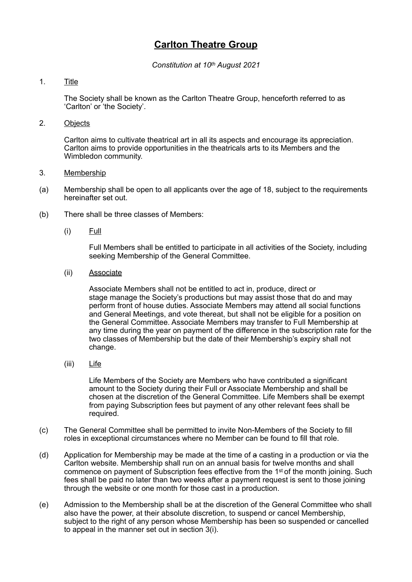## **Carlton Theatre Group**

*Constitution at 10th August 2021*

## 1. Title

The Society shall be known as the Carlton Theatre Group, henceforth referred to as 'Carlton' or 'the Society'.

2. Objects

Carlton aims to cultivate theatrical art in all its aspects and encourage its appreciation. Carlton aims to provide opportunities in the theatricals arts to its Members and the Wimbledon community.

- 3. Membership
- (a) Membership shall be open to all applicants over the age of 18, subject to the requirements hereinafter set out.
- (b) There shall be three classes of Members:
	- (i) Full

Full Members shall be entitled to participate in all activities of the Society, including seeking Membership of the General Committee.

(ii) Associate

Associate Members shall not be entitled to act in, produce, direct or stage manage the Society's productions but may assist those that do and may perform front of house duties. Associate Members may attend all social functions and General Meetings, and vote thereat, but shall not be eligible for a position on the General Committee. Associate Members may transfer to Full Membership at any time during the year on payment of the difference in the subscription rate for the two classes of Membership but the date of their Membership's expiry shall not change.

(iii) Life

Life Members of the Society are Members who have contributed a significant amount to the Society during their Full or Associate Membership and shall be chosen at the discretion of the General Committee. Life Members shall be exempt from paying Subscription fees but payment of any other relevant fees shall be required.

- (c) The General Committee shall be permitted to invite Non-Members of the Society to fill roles in exceptional circumstances where no Member can be found to fill that role.
- (d) Application for Membership may be made at the time of a casting in a production or via the Carlton website. Membership shall run on an annual basis for twelve months and shall commence on payment of Subscription fees effective from the 1st of the month joining. Such fees shall be paid no later than two weeks after a payment request is sent to those joining through the website or one month for those cast in a production.
- (e) Admission to the Membership shall be at the discretion of the General Committee who shall also have the power, at their absolute discretion, to suspend or cancel Membership, subject to the right of any person whose Membership has been so suspended or cancelled to appeal in the manner set out in section 3(i).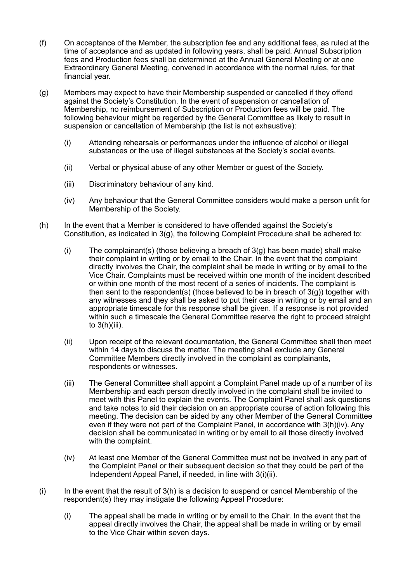- (f) On acceptance of the Member, the subscription fee and any additional fees, as ruled at the time of acceptance and as updated in following years, shall be paid. Annual Subscription fees and Production fees shall be determined at the Annual General Meeting or at one Extraordinary General Meeting, convened in accordance with the normal rules, for that financial year.
- (g) Members may expect to have their Membership suspended or cancelled if they offend against the Society's Constitution. In the event of suspension or cancellation of Membership, no reimbursement of Subscription or Production fees will be paid. The following behaviour might be regarded by the General Committee as likely to result in suspension or cancellation of Membership (the list is not exhaustive):
	- (i) Attending rehearsals or performances under the influence of alcohol or illegal substances or the use of illegal substances at the Society's social events.
	- (ii) Verbal or physical abuse of any other Member or guest of the Society.
	- (iii) Discriminatory behaviour of any kind.
	- (iv) Any behaviour that the General Committee considers would make a person unfit for Membership of the Society.
- (h) In the event that a Member is considered to have offended against the Society's Constitution, as indicated in 3(g), the following Complaint Procedure shall be adhered to:
	- (i) The complainant(s) (those believing a breach of  $3(q)$  has been made) shall make their complaint in writing or by email to the Chair. In the event that the complaint directly involves the Chair, the complaint shall be made in writing or by email to the Vice Chair. Complaints must be received within one month of the incident described or within one month of the most recent of a series of incidents. The complaint is then sent to the respondent(s) (those believed to be in breach of  $3(g)$ ) together with any witnesses and they shall be asked to put their case in writing or by email and an appropriate timescale for this response shall be given. If a response is not provided within such a timescale the General Committee reserve the right to proceed straight to  $3(h)(iii)$ .
	- (ii) Upon receipt of the relevant documentation, the General Committee shall then meet within 14 days to discuss the matter. The meeting shall exclude any General Committee Members directly involved in the complaint as complainants, respondents or witnesses.
	- (iii) The General Committee shall appoint a Complaint Panel made up of a number of its Membership and each person directly involved in the complaint shall be invited to meet with this Panel to explain the events. The Complaint Panel shall ask questions and take notes to aid their decision on an appropriate course of action following this meeting. The decision can be aided by any other Member of the General Committee even if they were not part of the Complaint Panel, in accordance with 3(h)(iv). Any decision shall be communicated in writing or by email to all those directly involved with the complaint.
	- (iv) At least one Member of the General Committee must not be involved in any part of the Complaint Panel or their subsequent decision so that they could be part of the Independent Appeal Panel, if needed, in line with 3(i)(ii).
- $(i)$  In the event that the result of  $3(h)$  is a decision to suspend or cancel Membership of the respondent(s) they may instigate the following Appeal Procedure:
	- (i) The appeal shall be made in writing or by email to the Chair. In the event that the appeal directly involves the Chair, the appeal shall be made in writing or by email to the Vice Chair within seven days.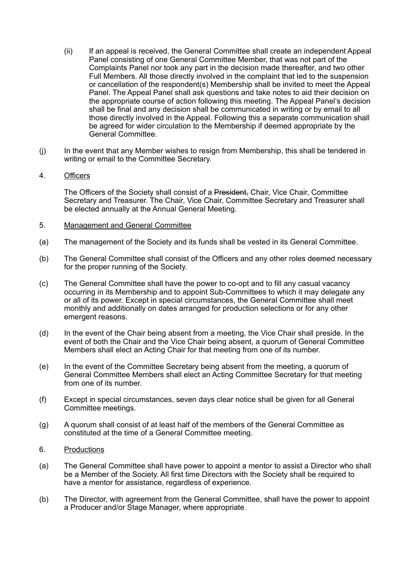- (ii) If an appeal is received, the General Committee shall create an independent Appeal Panel consisting of one General Committee Member, that was not part of the Complaints Panel nor took any part in the decision made thereafter, and two other Full Members. All those directly involved in the complaint that led to the suspension or cancellation of the respondent(s) Membership shall be invited to meet the Appeal Panel. The Appeal Panel shall ask questions and take notes to aid their decision on the appropriate course of action following this meeting. The Appeal Panel's decision shall be final and any decision shall be communicated in writing or by email to all those directly involved in the Appeal. Following this a separate communication shall be agreed for wider circulation to the Membership if deemed appropriate by the General Committee.
- (j) In the event that any Member wishes to resign from Membership, this shall be tendered in writing or email to the Committee Secretary.
- 4. Officers

The Officers of the Society shall consist of a President, Chair, Vice Chair, Committee Secretary and Treasurer. The Chair, Vice Chair, Committee Secretary and Treasurer shall be elected annually at the Annual General Meeting.

- 5. Management and General Committee
- (a) The management of the Society and its funds shall be vested in its General Committee.
- (b) The General Committee shall consist of the Officers and any other roles deemed necessary for the proper running of the Society.
- (c) The General Committee shall have the power to co-opt and to fill any casual vacancy occurring in its Membership and to appoint Sub-Committees to which it may delegate any or all of its power. Except in special circumstances, the General Committee shall meet monthly and additionally on dates arranged for production selections or for any other emergent reasons.
- (d) In the event of the Chair being absent from a meeting, the Vice Chair shall preside. In the event of both the Chair and the Vice Chair being absent, a quorum of General Committee Members shall elect an Acting Chair for that meeting from one of its number.
- (e) In the event of the Committee Secretary being absent from the meeting, a quorum of General Committee Members shall elect an Acting Committee Secretary for that meeting from one of its number.
- (f) Except in special circumstances, seven days clear notice shall be given for all General Committee meetings.
- (g) A quorum shall consist of at least half of the members of the General Committee as constituted at the time of a General Committee meeting.
- 6. Productions
- (a) The General Committee shall have power to appoint a mentor to assist a Director who shall be a Member of the Society. All first time Directors with the Society shall be required to have a mentor for assistance, regardless of experience.
- (b) The Director, with agreement from the General Committee, shall have the power to appoint a Producer and/or Stage Manager, where appropriate.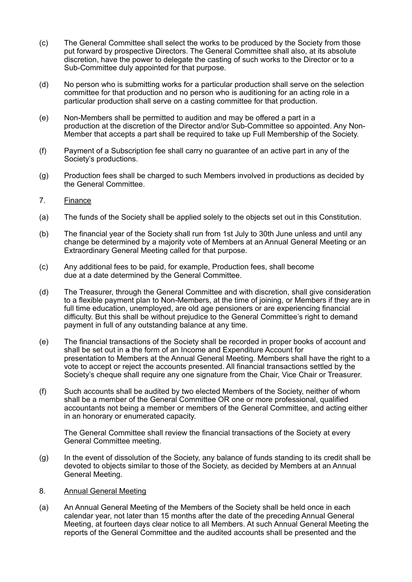- (c) The General Committee shall select the works to be produced by the Society from those put forward by prospective Directors. The General Committee shall also, at its absolute discretion, have the power to delegate the casting of such works to the Director or to a Sub-Committee duly appointed for that purpose.
- (d) No person who is submitting works for a particular production shall serve on the selection committee for that production and no person who is auditioning for an acting role in a particular production shall serve on a casting committee for that production.
- (e) Non-Members shall be permitted to audition and may be offered a part in a production at the discretion of the Director and/or Sub-Committee so appointed. Any Non-Member that accepts a part shall be required to take up Full Membership of the Society.
- (f) Payment of a Subscription fee shall carry no guarantee of an active part in any of the Society's productions.
- (g) Production fees shall be charged to such Members involved in productions as decided by the General Committee.
- 7. Finance
- (a) The funds of the Society shall be applied solely to the objects set out in this Constitution.
- (b) The financial year of the Society shall run from 1st July to 30th June unless and until any change be determined by a majority vote of Members at an Annual General Meeting or an Extraordinary General Meeting called for that purpose.
- (c) Any additional fees to be paid, for example, Production fees, shall become due at a date determined by the General Committee.
- (d) The Treasurer, through the General Committee and with discretion, shall give consideration to a flexible payment plan to Non-Members, at the time of joining, or Members if they are in full time education, unemployed, are old age pensioners or are experiencing financial difficulty. But this shall be without prejudice to the General Committee's right to demand payment in full of any outstanding balance at any time.
- (e) The financial transactions of the Society shall be recorded in proper books of account and shall be set out in a the form of an Income and Expenditure Account for presentation to Members at the Annual General Meeting. Members shall have the right to a vote to accept or reject the accounts presented. All financial transactions settled by the Society's cheque shall require any one signature from the Chair, Vice Chair or Treasurer.
- (f) Such accounts shall be audited by two elected Members of the Society, neither of whom shall be a member of the General Committee OR one or more professional, qualified accountants not being a member or members of the General Committee, and acting either in an honorary or enumerated capacity.

The General Committee shall review the financial transactions of the Society at every General Committee meeting.

- (g) In the event of dissolution of the Society, any balance of funds standing to its credit shall be devoted to objects similar to those of the Society, as decided by Members at an Annual General Meeting.
- 8. Annual General Meeting
- (a) An Annual General Meeting of the Members of the Society shall be held once in each calendar year, not later than 15 months after the date of the preceding Annual General Meeting, at fourteen days clear notice to all Members. At such Annual General Meeting the reports of the General Committee and the audited accounts shall be presented and the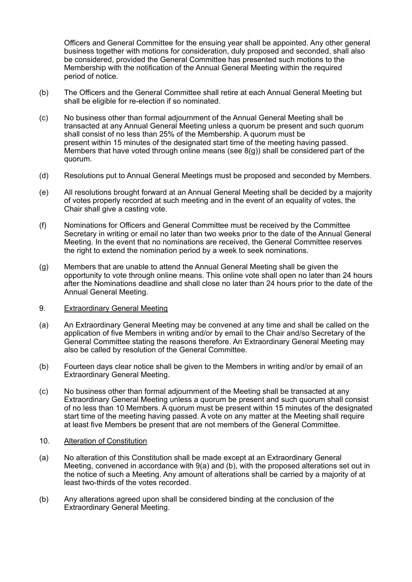Officers and General Committee for the ensuing year shall be appointed. Any other general business together with motions for consideration, duly proposed and seconded, shall also be considered, provided the General Committee has presented such motions to the Membership with the notification of the Annual General Meeting within the required period of notice.

- (b) The Officers and the General Committee shall retire at each Annual General Meeting but shall be eligible for re-election if so nominated.
- (c) No business other than formal adjournment of the Annual General Meeting shall be transacted at any Annual General Meeting unless a quorum be present and such quorum shall consist of no less than 25% of the Membership. A quorum must be present within 15 minutes of the designated start time of the meeting having passed. Members that have voted through online means (see  $8(q)$ ) shall be considered part of the quorum.
- (d) Resolutions put to Annual General Meetings must be proposed and seconded by Members.
- (e) All resolutions brought forward at an Annual General Meeting shall be decided by a majority of votes properly recorded at such meeting and in the event of an equality of votes, the Chair shall give a casting vote.
- (f) Nominations for Officers and General Committee must be received by the Committee Secretary in writing or email no later than two weeks prior to the date of the Annual General Meeting. In the event that no nominations are received, the General Committee reserves the right to extend the nomination period by a week to seek nominations.
- (g) Members that are unable to attend the Annual General Meeting shall be given the opportunity to vote through online means. This online vote shall open no later than 24 hours after the Nominations deadline and shall close no later than 24 hours prior to the date of the Annual General Meeting.
- 9. Extraordinary General Meeting
- (a) An Extraordinary General Meeting may be convened at any time and shall be called on the application of five Members in writing and/or by email to the Chair and/so Secretary of the General Committee stating the reasons therefore. An Extraordinary General Meeting may also be called by resolution of the General Committee.
- (b) Fourteen days clear notice shall be given to the Members in writing and/or by email of an Extraordinary General Meeting.
- (c) No business other than formal adjournment of the Meeting shall be transacted at any Extraordinary General Meeting unless a quorum be present and such quorum shall consist of no less than 10 Members. A quorum must be present within 15 minutes of the designated start time of the meeting having passed. A vote on any matter at the Meeting shall require at least five Members be present that are not members of the General Committee.
- 10. Alteration of Constitution
- (a) No alteration of this Constitution shall be made except at an Extraordinary General Meeting, convened in accordance with 9(a) and (b), with the proposed alterations set out in the notice of such a Meeting. Any amount of alterations shall be carried by a majority of at least two-thirds of the votes recorded.
- (b) Any alterations agreed upon shall be considered binding at the conclusion of the Extraordinary General Meeting.